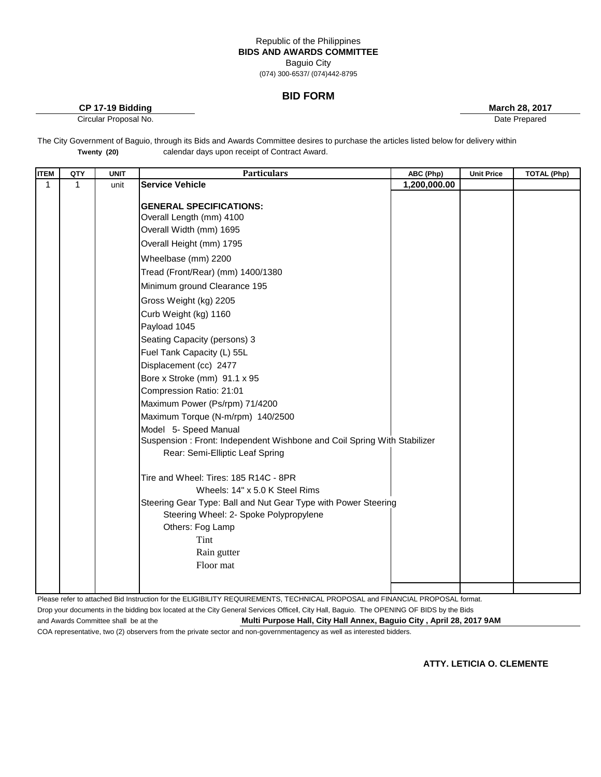# Republic of the Philippines **BIDS AND AWARDS COMMITTEE** Baguio City

(074) 300-6537/ (074)442-8795

## **BID FORM**

**CP 17-19 Bidding <b>March 28, 2017 March 28, 2017** 

Circular Proposal No. Date Prepared

The City Government of Baguio, through its Bids and Awards Committee desires to purchase the articles listed below for delivery within calendar days upon receipt of Contract Award. **Twenty (20)** 

| <b>ITEM</b> | QTY | <b>UNIT</b> | <b>Particulars</b>                                                                                                                                                                                                                                                                                                                                                                                                                                                                                                                                                                                                                                                                                                                                                                                                                                                                                | ABC (Php)    | <b>Unit Price</b> | <b>TOTAL (Php)</b> |
|-------------|-----|-------------|---------------------------------------------------------------------------------------------------------------------------------------------------------------------------------------------------------------------------------------------------------------------------------------------------------------------------------------------------------------------------------------------------------------------------------------------------------------------------------------------------------------------------------------------------------------------------------------------------------------------------------------------------------------------------------------------------------------------------------------------------------------------------------------------------------------------------------------------------------------------------------------------------|--------------|-------------------|--------------------|
| 1           | 1   | unit        | <b>Service Vehicle</b>                                                                                                                                                                                                                                                                                                                                                                                                                                                                                                                                                                                                                                                                                                                                                                                                                                                                            | 1,200,000.00 |                   |                    |
|             |     |             | <b>GENERAL SPECIFICATIONS:</b><br>Overall Length (mm) 4100<br>Overall Width (mm) 1695<br>Overall Height (mm) 1795<br>Wheelbase (mm) 2200<br>Tread (Front/Rear) (mm) 1400/1380<br>Minimum ground Clearance 195<br>Gross Weight (kg) 2205<br>Curb Weight (kg) 1160<br>Payload 1045<br>Seating Capacity (persons) 3<br>Fuel Tank Capacity (L) 55L<br>Displacement (cc) 2477<br>Bore x Stroke (mm) 91.1 x 95<br>Compression Ratio: 21:01<br>Maximum Power (Ps/rpm) 71/4200<br>Maximum Torque (N-m/rpm) 140/2500<br>Model 5- Speed Manual<br>Suspension: Front: Independent Wishbone and Coil Spring With Stabilizer<br>Rear: Semi-Elliptic Leaf Spring<br>Tire and Wheel: Tires: 185 R14C - 8PR<br>Wheels: 14" x 5.0 K Steel Rims<br>Steering Gear Type: Ball and Nut Gear Type with Power Steering<br>Steering Wheel: 2- Spoke Polypropylene<br>Others: Fog Lamp<br>Tint<br>Rain gutter<br>Floor mat |              |                   |                    |
|             |     |             |                                                                                                                                                                                                                                                                                                                                                                                                                                                                                                                                                                                                                                                                                                                                                                                                                                                                                                   |              |                   |                    |

Please refer to attached Bid Instruction for the ELIGIBILITY REQUIREMENTS, TECHNICAL PROPOSAL and FINANCIAL PROPOSAL format. Drop your documents in the bidding box located at the City General Services Office**l**, City Hall, Baguio. The OPENING OF BIDS by the Bids and Awards Committee shall be at the **Multi Purpose Hall, City Hall Annex, Baguio City , April 28, 2017 9AM**

COA representative, two (2) observers from the private sector and non-governmentagency as well as interested bidders.

**ATTY. LETICIA O. CLEMENTE**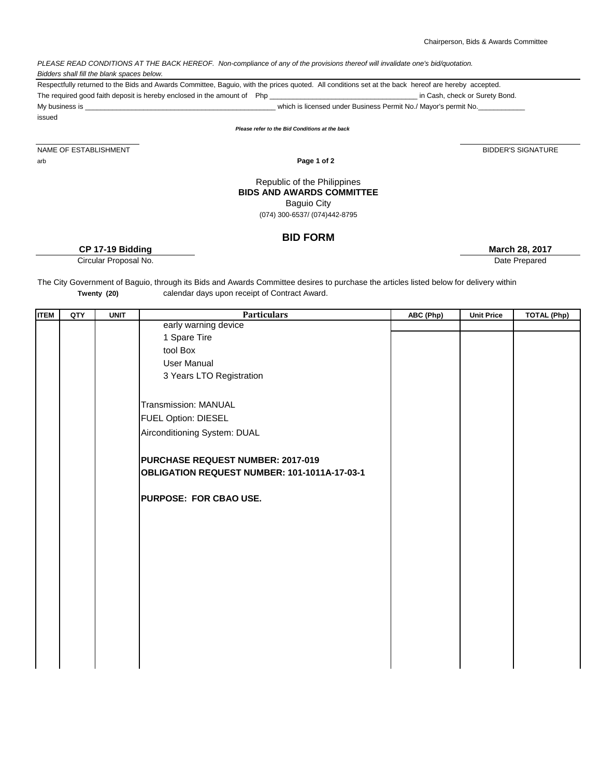### *PLEASE READ CONDITIONS AT THE BACK HEREOF. Non-compliance of any of the provisions thereof will invalidate one's bid/quotation. Bidders shall fill the blank spaces below.*

 $i$ ssued on  $\mathcal{N}$  is  $i$  and  $i$  and  $i$  and  $i$  and  $i$  and  $i$  and  $i$  and  $i$  and  $i$  and  $i$  and  $i$  and  $i$  and  $i$  and  $i$  and  $i$  and  $i$  and  $i$  and  $i$  and  $i$  and  $i$  and  $i$  and  $i$  and  $i$  and  $i$  and  $i$  a

The required good faith deposit is hereby enclosed in the amount of Php \_\_\_\_\_\_\_\_\_\_\_\_\_\_\_\_\_\_\_\_\_\_\_\_\_\_\_\_\_\_\_\_\_\_\_\_\_\_ in Cash, check or Surety Bond. My business is \_\_\_\_\_\_\_\_\_\_\_\_\_\_\_\_\_\_\_\_\_\_\_\_\_\_\_\_\_\_\_\_\_\_\_\_\_\_\_\_\_\_\_\_\_\_\_\_\_ which is licensed under Business Permit No./ Mayor's permit No.\_\_\_\_\_\_\_\_\_\_\_\_ Respectfully returned to the Bids and Awards Committee, Baguio, with the prices quoted. All conditions set at the back hereof are hereby accepted.

*Please refer to the Bid Conditions at the back*

NAME OF ESTABLISHMENT arb **Page 1 of 2** 

### Republic of the Philippines **BIDS AND AWARDS COMMITTEE** Baguio City

(074) 300-6537/ (074)442-8795

# **BID FORM**

**CP 17-19 Bidding March 28, 2017**

Circular Proposal No. 2006 and 2007 and 2008 and 2008 and 2008 and 2008 and 2008 and 2008 and 2008 and 2008 and 2008 and 2008 and 2008 and 2008 and 2008 and 2008 and 2008 and 2008 and 2008 and 2008 and 2008 and 2008 and 20

The City Government of Baguio, through its Bids and Awards Committee desires to purchase the articles listed below for delivery within calendar days upon receipt of Contract Award. **Twenty (20)** 

| <b>ITEM</b> | QTY | <b>UNIT</b> | <b>Particulars</b>                           | ABC (Php) | <b>Unit Price</b> | <b>TOTAL (Php)</b> |
|-------------|-----|-------------|----------------------------------------------|-----------|-------------------|--------------------|
|             |     |             | early warning device                         |           |                   |                    |
|             |     |             | 1 Spare Tire                                 |           |                   |                    |
|             |     |             | tool Box                                     |           |                   |                    |
|             |     |             | <b>User Manual</b>                           |           |                   |                    |
|             |     |             | 3 Years LTO Registration                     |           |                   |                    |
|             |     |             |                                              |           |                   |                    |
|             |     |             | Transmission: MANUAL                         |           |                   |                    |
|             |     |             | <b>FUEL Option: DIESEL</b>                   |           |                   |                    |
|             |     |             | Airconditioning System: DUAL                 |           |                   |                    |
|             |     |             |                                              |           |                   |                    |
|             |     |             | PURCHASE REQUEST NUMBER: 2017-019            |           |                   |                    |
|             |     |             | OBLIGATION REQUEST NUMBER: 101-1011A-17-03-1 |           |                   |                    |
|             |     |             |                                              |           |                   |                    |
|             |     |             | <b>PURPOSE: FOR CBAO USE.</b>                |           |                   |                    |
|             |     |             |                                              |           |                   |                    |
|             |     |             |                                              |           |                   |                    |
|             |     |             |                                              |           |                   |                    |
|             |     |             |                                              |           |                   |                    |
|             |     |             |                                              |           |                   |                    |
|             |     |             |                                              |           |                   |                    |
|             |     |             |                                              |           |                   |                    |
|             |     |             |                                              |           |                   |                    |
|             |     |             |                                              |           |                   |                    |
|             |     |             |                                              |           |                   |                    |
|             |     |             |                                              |           |                   |                    |
|             |     |             |                                              |           |                   |                    |

BIDDER'S SIGNATURE